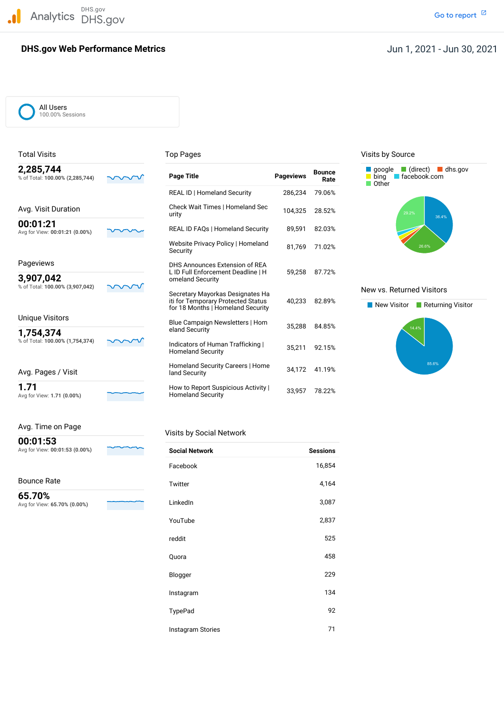DHS.gov Analytics DHS.gov and the contract of the contract of the contract of the contract of the contract of the contract of the contract of the contract of the contract of the contract of the contract of the contract of the cont

# **DHS.gov Web Performance Metrics**

All Users 100.00% Sessions

| 2,285,744<br>% of Total: 100.00% (2,285,744) | <b>Page Title</b>                                                                                           | <b>Pageviews</b> | <b>Bounce</b><br>Rate | $\Box$ (direct) $\Box$ dhs.gov<br>aoogle i<br>facebook.com<br>bing<br>$\blacksquare$ Other |
|----------------------------------------------|-------------------------------------------------------------------------------------------------------------|------------------|-----------------------|--------------------------------------------------------------------------------------------|
|                                              | REAL ID   Homeland Security                                                                                 | 286,234          | 79.06%                |                                                                                            |
| Avg. Visit Duration                          | Check Wait Times   Homeland Sec<br>urity                                                                    | 104,325          | 28.52%                | 29.2%<br>36.4%                                                                             |
| 00:01:21<br>Avg for View: 00:01:21 (0.00%)   | <b>REAL ID FAQs   Homeland Security</b>                                                                     | 89,591           | 82.03%                |                                                                                            |
|                                              | Website Privacy Policy   Homeland<br>Security                                                               | 81.769           | 71.02%                | 26.6%                                                                                      |
| Pageviews                                    | DHS Announces Extension of REA                                                                              |                  |                       |                                                                                            |
| 3,907,042                                    | L ID Full Enforcement Deadline   H<br>omeland Security                                                      | 59,258           | 87.72%                |                                                                                            |
| % of Total: 100.00% (3,907,042)              | Secretary Mayorkas Designates Ha<br>iti for Temporary Protected Status<br>for 18 Months   Homeland Security | 40,233           | 82.89%                | New vs. Returned Visitors<br>New Visitor<br>Returning Visite                               |
| <b>Unique Visitors</b>                       | Blue Campaign Newsletters   Hom                                                                             |                  |                       |                                                                                            |
| 1,754,374                                    | eland Security                                                                                              | 35.288           | 84.85%                | 14.4%                                                                                      |
| % of Total: 100.00% (1,754,374)              | Indicators of Human Trafficking<br><b>Homeland Security</b>                                                 | 35,211           | 92.15%                |                                                                                            |
| Avg. Pages / Visit                           | Homeland Security Careers   Home<br>land Security                                                           | 34,172           | 41.19%                | 85.6%                                                                                      |
| 1.71<br>Avg for View: 1.71 (0.00%)           | How to Report Suspicious Activity  <br><b>Homeland Security</b>                                             | 33,957           | 78.22%                |                                                                                            |

**00:01:53**

### Bounce Rate

# Avg. Time on Page Visits by Social Network

| Avg for View: 00:01:53 (0.00%)         | <b>Social Network</b> | <b>Sessions</b> |
|----------------------------------------|-----------------------|-----------------|
|                                        | Facebook              | 16,854          |
| <b>Bounce Rate</b>                     | Twitter               | 4,164           |
| 65.70%<br>Avg for View: 65.70% (0.00%) | LinkedIn              | 3,087           |
|                                        | YouTube               | 2,837           |
|                                        | reddit                | 525             |
|                                        | Quora                 | 458             |
|                                        | Blogger               | 229             |
|                                        | Instagram             | 134             |
|                                        | TypePad               | 92              |
|                                        | Instagram Stories     | 71              |

#### Total Visits **Top Pages** Top Pages Top Pages Visits by Source



#### **New vs. Returned Visitors**

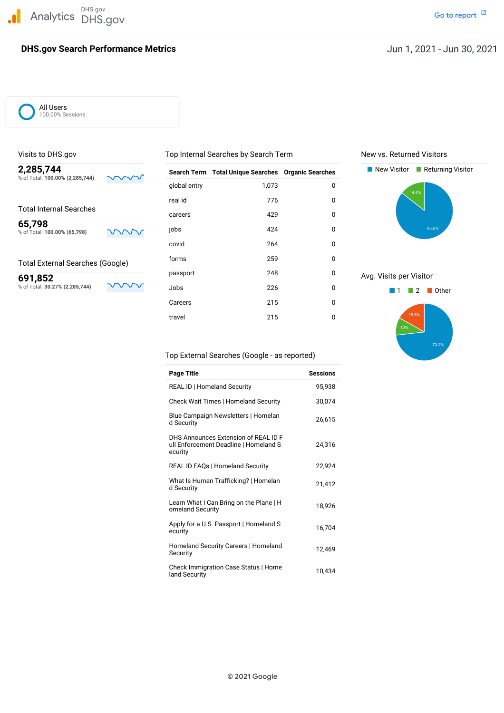## **DHS.gov Search Performance Metrics**

# Jun 1, 2021 - Jun 30, 2021

All Users 100.00% Sessions

#### Total External Searches (Google)

| 2,285,744<br>% of Total: 100.00% (2,285,744) |      | <b>Search Term</b> | <b>Total Unique Searches Organic Searches</b> |             | New Visitor<br>Returning Visitor |
|----------------------------------------------|------|--------------------|-----------------------------------------------|-------------|----------------------------------|
|                                              |      | global entry       | 1,073                                         | 0           | 14.4%                            |
|                                              |      | real id            | 776                                           | 0           |                                  |
| <b>Total Internal Searches</b>               |      | careers            | 429                                           | 0           |                                  |
| 65,798<br>% of Total: 100.00% (65,798)       | www  | jobs               | 424                                           | 0           | 85.6%                            |
|                                              |      | covid              | 264                                           | $\mathbf 0$ |                                  |
| <b>Total External Searches (Google)</b>      |      | forms              | 259                                           | 0           |                                  |
| 691,852                                      |      | passport           | 248                                           | 0           | Avg. Visits per Visitor          |
| % of Total: 30.27% (2,285,744)               | vvvv | Jobs               | 226                                           | 0           | Other                            |
|                                              |      | Careers            | 215                                           | 0           |                                  |
|                                              |      | travel             | 215                                           | 0           | 16.8%<br>$\overline{a}$          |







Top External Searches (Google - as reported)

| Page Title                                                                               | <b>Sessions</b> |
|------------------------------------------------------------------------------------------|-----------------|
| <b>REAL ID   Homeland Security</b>                                                       | 95,938          |
| Check Wait Times   Homeland Security                                                     | 30,074          |
| Blue Campaign Newsletters   Homelan<br>d Security                                        | 26,615          |
| DHS Announces Extension of REAL ID F<br>ull Enforcement Deadline   Homeland S<br>ecurity | 24,316          |
| <b>REAL ID FAQs   Homeland Security</b>                                                  | 22,924          |
| What Is Human Trafficking?   Homelan<br>d Security                                       | 21,412          |
| Learn What I Can Bring on the Plane   H<br>omeland Security                              | 18,926          |
| Apply for a U.S. Passport   Homeland S<br>ecurity                                        | 16,704          |
| Homeland Security Careers   Homeland<br>Security                                         | 12,469          |
| Check Immigration Case Status   Home<br>land Security                                    | 10,434          |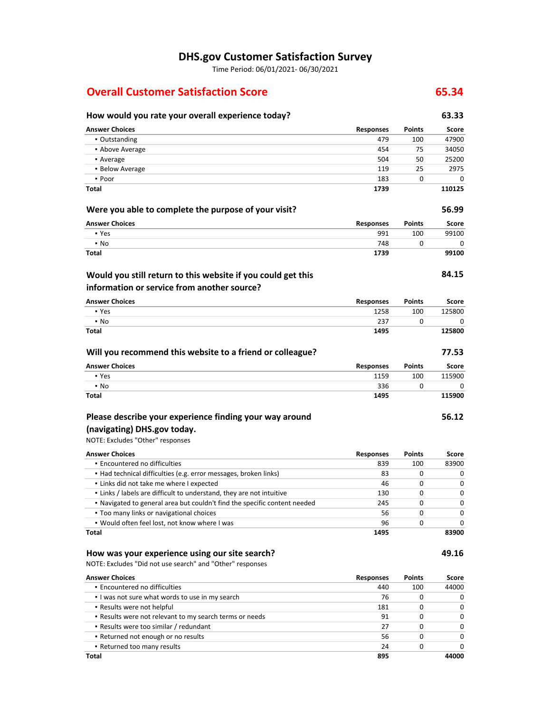## **DHS.gov Customer Satisfaction Survey**

Time Period: 06/01/2021‐ 06/30/2021

# **Overall Customer Satisfaction Score 65.34**

#### **How would you rate your overall experience today? 63.33 Were you able to complete the purpose of your visit? Answer Choices Responses Points Score** • Outstanding 100 at 27900 100 at 27900 100 at 27900 100 at 27900 100 at 27900 100 at 27900 100 at 27900 100 at 27900 100 at 27900 100 at 27900 100 at 27900 100 at 27900 100 at 27900 100 at 27900 100 at 27900 100 at 27900 **•** Above Average 20050 **1206 2006** 2007 12:00 12:00 12:00 12:00 12:00 12:00 12:00 12:00 12:00 12:00 12:00 12:00 12:00 12:00 12:00 12:00 12:00 12:00 12:00 12:00 12:00 12:00 12:00 12:00 12:00 12:00 12:00 12:00 12:00 12:00 1 • Average 50 25200 504 50 25200 504 50 25200 504 50 25200 504 50 25200 50 25200 50 25200 50 25200 50 25200 50 2 ▪ Below Average 119 25 2975  $\bullet$  Poor  $\bullet$  0 0  $\bullet$  0  $\bullet$  0  $\bullet$  0  $\bullet$  0  $\bullet$  0  $\bullet$  0  $\bullet$  0  $\bullet$  0  $\bullet$  0  $\bullet$  0  $\bullet$  0  $\bullet$  0  $\bullet$  0  $\bullet$  0  $\bullet$  0  $\bullet$  0  $\bullet$  0  $\bullet$  0  $\bullet$  0  $\bullet$  0  $\bullet$  0  $\bullet$  0  $\bullet$  0  $\bullet$  0  $\bullet$  0  $\bullet$  0  $\bullet$  0  $\bullet$  0  $\bullet$  0 **1739 Responses Points**

| <b>Answer Choices</b> | <b>Responses</b> | <b>Points</b> | Score |
|-----------------------|------------------|---------------|-------|
| • Yes                 | 991              | 100           | 99100 |
| $\cdot$ No            | 748              |               | 0     |
| <b>Total</b>          | 1739             |               | 99100 |

### **Would you still return to this website if you could get this information or service from another source?**

| <b>Answer Choices</b> | <b>Responses</b> | <b>Points</b> | Score  |
|-----------------------|------------------|---------------|--------|
| • Yes                 | 1258             | 100           | 125800 |
| $\cdot$ No            | 237              |               |        |
| <b>Total</b>          | 1495             |               | 125800 |

| Will you recommend this website to a friend or colleague? |                  |               | 77.53  |
|-----------------------------------------------------------|------------------|---------------|--------|
| <b>Answer Choices</b>                                     | <b>Responses</b> | <b>Points</b> | Score  |
| • Yes                                                     | 1159             | 100           | 115900 |
| $\cdot$ No                                                | 336              |               |        |
| Total                                                     | 1495             |               | 115900 |

# **Please describe your experience finding your way around**

# **(navigating) DHS.gov today.**

NOTE: Excludes "Other" responses

**Total**

| <b>Answer Choices</b>                                                     | <b>Responses</b> | <b>Points</b> | Score        |
|---------------------------------------------------------------------------|------------------|---------------|--------------|
| . Encountered no difficulties                                             | 839              | 100           | 83900        |
| • Had technical difficulties (e.g. error messages, broken links)          | 83               | O             |              |
| . Links did not take me where I expected                                  | 46               | 0             | <sup>0</sup> |
| . Links / labels are difficult to understand, they are not intuitive      | 130              | <sup>0</sup>  | <sup>0</sup> |
| . Navigated to general area but couldn't find the specific content needed | 245              | 0             | <sup>0</sup> |
| • Too many links or navigational choices                                  | 56               |               |              |
| . Would often feel lost, not know where I was                             | 96               |               |              |
| Total                                                                     | 1495             |               | 83900        |

#### **How was your experience using our site search?**

NOTE: Excludes "Did not use search" and "Other" responses

| <b>Answer Choices</b>                                   | <b>Responses</b> | <b>Points</b> | Score        |
|---------------------------------------------------------|------------------|---------------|--------------|
| • Encountered no difficulties                           | 440              | 100           | 44000        |
| . I was not sure what words to use in my search         | 76               |               | 0            |
| • Results were not helpful                              | 181              |               | <sup>0</sup> |
| . Results were not relevant to my search terms or needs | 91               |               | <sup>0</sup> |
| • Results were too similar / redundant                  | 27               |               | 0            |
| • Returned not enough or no results                     | 56               |               | U            |
| • Returned too many results                             | 24               |               | ŋ            |
| Total                                                   | 895              |               | 44000        |

**110125**

**56.99**

**84.15**

**56.12**

**49.16**